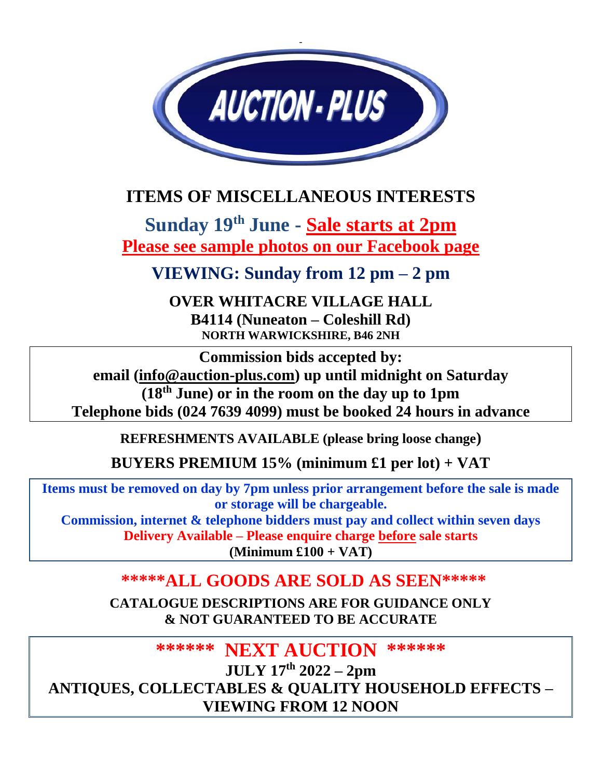

# **ITEMS OF MISCELLANEOUS INTERESTS**

**Sunday 19 th June - Sale starts at 2pm Please see sample photos on our Facebook page**

**VIEWING: Sunday from 12 pm – 2 pm**

**OVER WHITACRE VILLAGE HALL B4114 (Nuneaton – Coleshill Rd) NORTH WARWICKSHIRE, B46 2NH**

**Commission bids accepted by: email [\(info@auction-plus.com\)](mailto:info@auction-plus.co.uk) up until midnight on Saturday (18 th June) or in the room on the day up to 1pm Telephone bids (024 7639 4099) must be booked 24 hours in advance**

**REFRESHMENTS AVAILABLE (please bring loose change)**

**BUYERS PREMIUM 15% (minimum £1 per lot) + VAT**

**Items must be removed on day by 7pm unless prior arrangement before the sale is made or storage will be chargeable. Commission, internet & telephone bidders must pay and collect within seven days Delivery Available – Please enquire charge before sale starts**

**(Minimum £100 + VAT)**

## **\*\*\*\*\*ALL GOODS ARE SOLD AS SEEN\*\*\*\*\***

**CATALOGUE DESCRIPTIONS ARE FOR GUIDANCE ONLY & NOT GUARANTEED TO BE ACCURATE**

**\*\*\*\*\*\* NEXT AUCTION \*\*\*\*\*\***

**JULY 17 th 2022 – 2pm ANTIQUES, COLLECTABLES & QUALITY HOUSEHOLD EFFECTS – VIEWING FROM 12 NOON**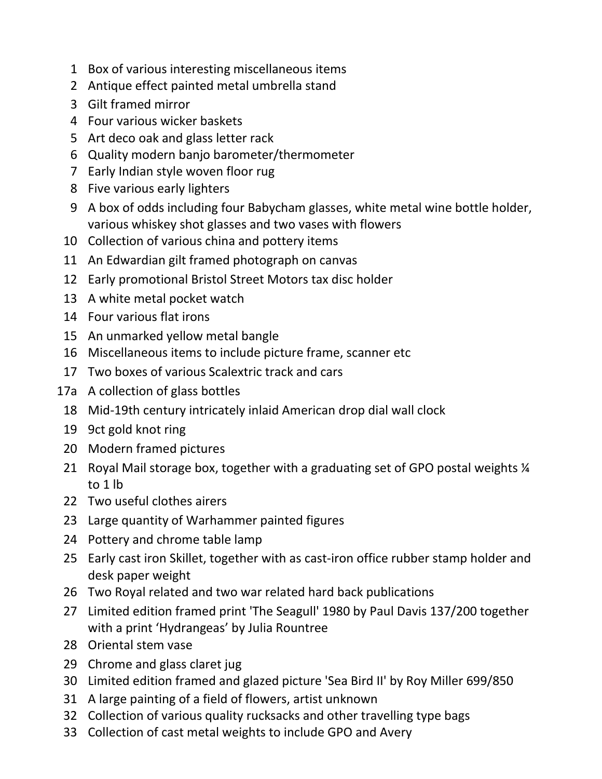- Box of various interesting miscellaneous items
- Antique effect painted metal umbrella stand
- Gilt framed mirror
- Four various wicker baskets
- Art deco oak and glass letter rack
- Quality modern banjo barometer/thermometer
- Early Indian style woven floor rug
- Five various early lighters
- A box of odds including four Babycham glasses, white metal wine bottle holder, various whiskey shot glasses and two vases with flowers
- Collection of various china and pottery items
- An Edwardian gilt framed photograph on canvas
- Early promotional Bristol Street Motors tax disc holder
- A white metal pocket watch
- Four various flat irons
- An unmarked yellow metal bangle
- Miscellaneous items to include picture frame, scanner etc
- Two boxes of various Scalextric track and cars
- 17a A collection of glass bottles
	- Mid-19th century intricately inlaid American drop dial wall clock
	- 9ct gold knot ring
	- Modern framed pictures
	- [21](javascript:;) Royal Mail storage box, together with a graduating set of GPO postal weights  $\frac{1}{4}$ to 1 lb
	- Two useful clothes airers
	- Large quantity of Warhammer painted figures
	- Pottery and chrome table lamp
- Early cast iron Skillet, together with as cast-iron office rubber stamp holder and desk paper weight
- Two Royal related and two war related hard back publications
- Limited edition framed print 'The Seagull' 1980 by Paul Davis 137/200 together with a print 'Hydrangeas' by Julia Rountree
- Oriental stem vase
- Chrome and glass claret jug
- Limited edition framed and glazed picture 'Sea Bird II' by Roy Miller 699/850
- A large painting of a field of flowers, artist unknown
- Collection of various quality rucksacks and other travelling type bags
- Collection of cast metal weights to include GPO and Avery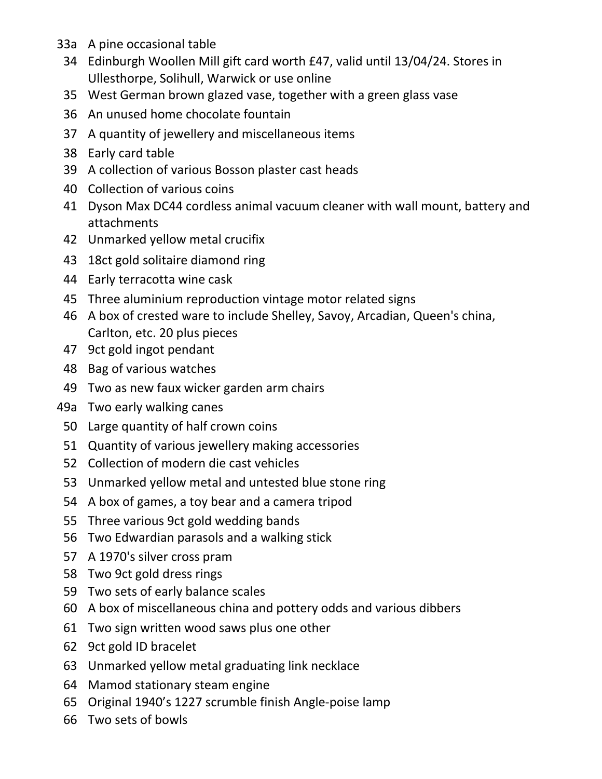- 33a A pine occasional table
	- Edinburgh Woollen Mill gift card worth £47, valid until 13/04/24. Stores in Ullesthorpe, Solihull, Warwick or use online
	- West German brown glazed vase, together with a green glass vase
	- An unused home chocolate fountain
	- A quantity of jewellery and miscellaneous items
	- Early card table
	- A collection of various Bosson plaster cast heads
	- Collection of various coins
	- Dyson Max DC44 cordless animal vacuum cleaner with wall mount, battery and attachments
- Unmarked yellow metal crucifix
- 18ct gold solitaire diamond ring
- Early terracotta wine cask
- Three aluminium reproduction vintage motor related signs
- A box of crested ware to include Shelley, Savoy, Arcadian, Queen's china, Carlton, etc. 20 plus pieces
- 9ct gold ingot pendant
- Bag of various watches
- Two as new faux wicker garden arm chairs
- 49a Two early walking canes
	- Large quantity of half crown coins
	- Quantity of various jewellery making accessories
	- Collection of modern die cast vehicles
	- Unmarked yellow metal and untested blue stone ring
	- A box of games, a toy bear and a camera tripod
	- Three various 9ct gold wedding bands
	- Two Edwardian parasols and a walking stick
	- A 1970's silver cross pram
- Two 9ct gold dress rings
- Two sets of early balance scales
- A box of miscellaneous china and pottery odds and various dibbers
- Two sign written wood saws plus one other
- 9ct gold ID bracelet
- Unmarked yellow metal graduating link necklace
- Mamod stationary steam engine
- Original 1940's 1227 scrumble finish Angle-poise lamp
- Two sets of bowls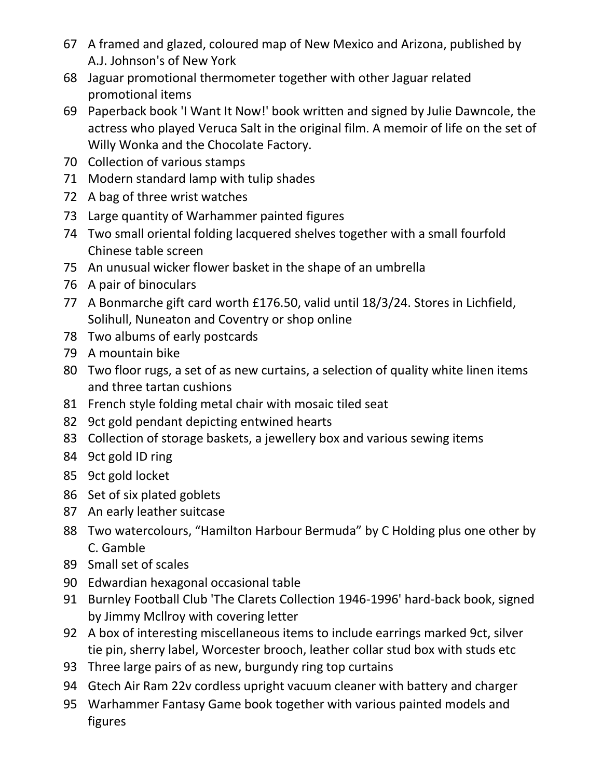- A framed and glazed, coloured map of New Mexico and Arizona, published by A.J. Johnson's of New York
- Jaguar promotional thermometer together with other Jaguar related promotional items
- Paperback book 'I Want It Now!' book written and signed by Julie Dawncole, the actress who played Veruca Salt in the original film. A memoir of life on the set of Willy Wonka and the Chocolate Factory.
- Collection of various stamps
- Modern standard lamp with tulip shades
- A bag of three wrist watches
- Large quantity of Warhammer painted figures
- Two small oriental folding lacquered shelves together with a small fourfold Chinese table screen
- An unusual wicker flower basket in the shape of an umbrella
- A pair of binoculars
- A Bonmarche gift card worth £176.50, valid until 18/3/24. Stores in Lichfield, Solihull, Nuneaton and Coventry or shop online
- Two albums of early postcards
- A mountain bike
- Two floor rugs, a set of as new curtains, a selection of quality white linen items and three tartan cushions
- French style folding metal chair with mosaic tiled seat
- 9ct gold pendant depicting entwined hearts
- Collection of storage baskets, a jewellery box and various sewing items
- 9ct gold ID ring
- 9ct gold locket
- Set of six plated goblets
- An early leather suitcase
- Two watercolours, "Hamilton Harbour Bermuda" by C Holding plus one other by C. Gamble
- Small set of scales
- Edwardian hexagonal occasional table
- Burnley Football Club 'The Clarets Collection 1946-1996' hard-back book, signed by Jimmy Mcllroy with covering letter
- A box of interesting miscellaneous items to include earrings marked 9ct, silver tie pin, sherry label, Worcester brooch, leather collar stud box with studs etc
- Three large pairs of as new, burgundy ring top curtains
- Gtech Air Ram 22v cordless upright vacuum cleaner with battery and charger
- Warhammer Fantasy Game book together with various painted models and figures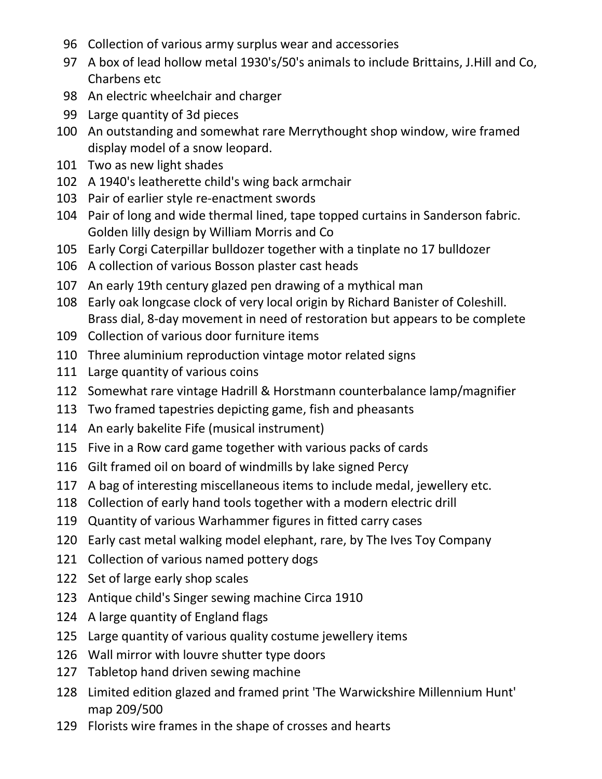- Collection of various army surplus wear and accessories
- A box of lead hollow metal 1930's/50's animals to include Brittains, J.Hill and Co, Charbens etc
- An electric wheelchair and charger
- Large quantity of 3d pieces
- An outstanding and somewhat rare Merrythought shop window, wire framed display model of a snow leopard.
- Two as new light shades
- A 1940's leatherette child's wing back armchair
- Pair of earlier style re-enactment swords
- Pair of long and wide thermal lined, tape topped curtains in Sanderson fabric. Golden lilly design by William Morris and Co
- Early Corgi Caterpillar bulldozer together with a tinplate no 17 bulldozer
- A collection of various Bosson plaster cast heads
- An early 19th century glazed pen drawing of a mythical man
- Early oak longcase clock of very local origin by Richard Banister of Coleshill. Brass dial, 8-day movement in need of restoration but appears to be complete
- Collection of various door furniture items
- Three aluminium reproduction vintage motor related signs
- Large quantity of various coins
- Somewhat rare vintage Hadrill & Horstmann counterbalance lamp/magnifier
- Two framed tapestries depicting game, fish and pheasants
- An early bakelite Fife (musical instrument)
- Five in a Row card game together with various packs of cards
- Gilt framed oil on board of windmills by lake signed Percy
- A bag of interesting miscellaneous items to include medal, jewellery etc.
- Collection of early hand tools together with a modern electric drill
- Quantity of various Warhammer figures in fitted carry cases
- Early cast metal walking model elephant, rare, by The Ives Toy Company
- Collection of various named pottery dogs
- Set of large early shop scales
- Antique child's Singer sewing machine Circa 1910
- A large quantity of England flags
- Large quantity of various quality costume jewellery items
- Wall mirror with louvre shutter type doors
- Tabletop hand driven sewing machine
- Limited edition glazed and framed print 'The Warwickshire Millennium Hunt' map 209/500
- Florists wire frames in the shape of crosses and hearts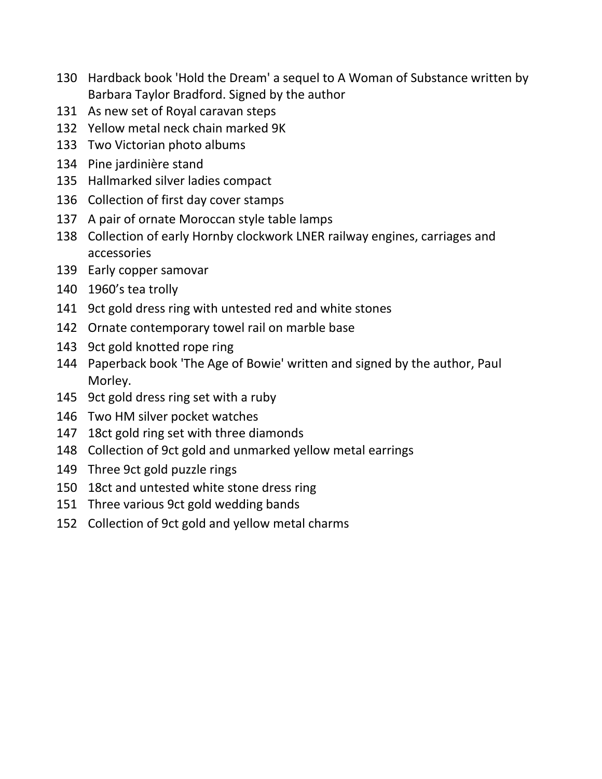- Hardback book 'Hold the Dream' a sequel to A Woman of Substance written by Barbara Taylor Bradford. Signed by the author
- As new set of Royal caravan steps
- Yellow metal neck chain marked 9K
- Two Victorian photo albums
- Pine jardinière stand
- Hallmarked silver ladies compact
- Collection of first day cover stamps
- A pair of ornate Moroccan style table lamps
- Collection of early Hornby clockwork LNER railway engines, carriages and accessories
- Early copper samovar
- 1960's tea trolly
- 9ct gold dress ring with untested red and white stones
- Ornate contemporary towel rail on marble base
- 9ct gold knotted rope ring
- Paperback book 'The Age of Bowie' written and signed by the author, Paul Morley.
- 9ct gold dress ring set with a ruby
- Two HM silver pocket watches
- 18ct gold ring set with three diamonds
- Collection of 9ct gold and unmarked yellow metal earrings
- Three 9ct gold puzzle rings
- 18ct and untested white stone dress ring
- Three various 9ct gold wedding bands
- Collection of 9ct gold and yellow metal charms